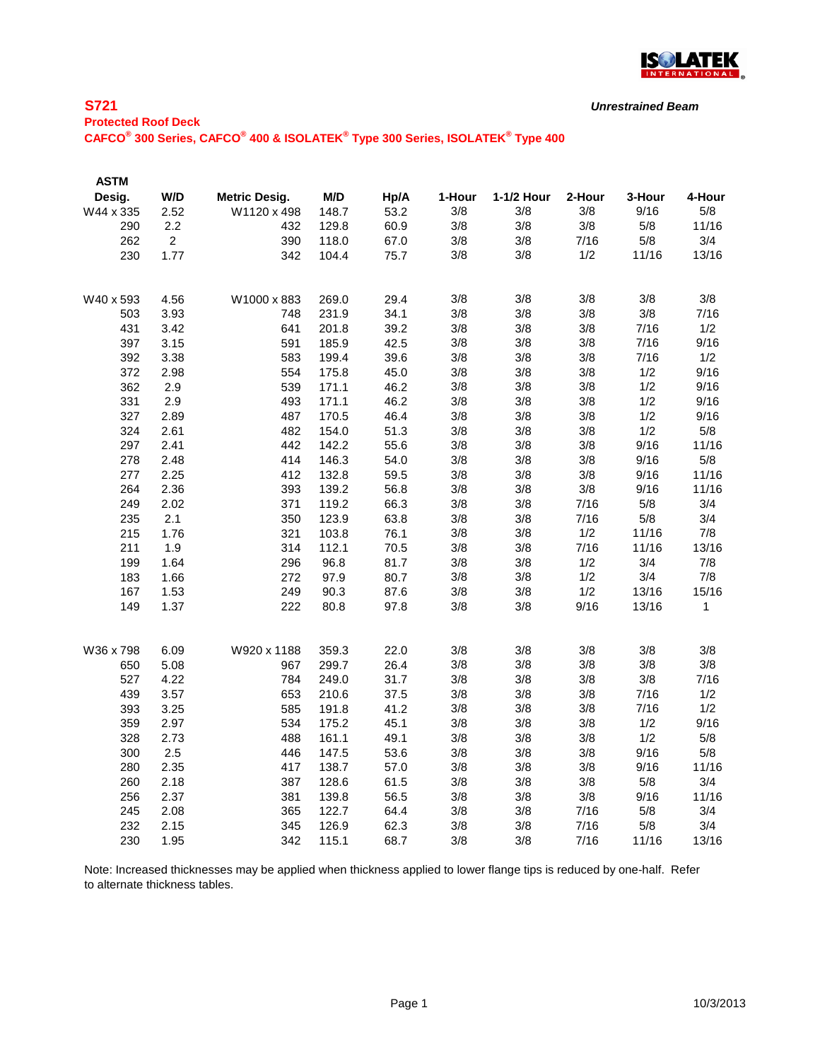

## **S721**

| ___________                                                                                                                   |  |
|-------------------------------------------------------------------------------------------------------------------------------|--|
| <b>Protected Roof Deck</b>                                                                                                    |  |
| CAFCO <sup>®</sup> 300 Series, CAFCO <sup>®</sup> 400 & ISOLATEK <sup>®</sup> Type 300 Series, ISOLATEK <sup>®</sup> Type 400 |  |

| <b>ASTM</b> |                |                      |       |      |        |            |        |        |        |
|-------------|----------------|----------------------|-------|------|--------|------------|--------|--------|--------|
| Desig.      | W/D            | <b>Metric Desig.</b> | M/D   | Hp/A | 1-Hour | 1-1/2 Hour | 2-Hour | 3-Hour | 4-Hour |
| W44 x 335   | 2.52           | W1120 x 498          | 148.7 | 53.2 | 3/8    | 3/8        | 3/8    | 9/16   | 5/8    |
| 290         | 2.2            | 432                  | 129.8 | 60.9 | 3/8    | 3/8        | 3/8    | 5/8    | 11/16  |
| 262         | $\overline{2}$ | 390                  | 118.0 | 67.0 | 3/8    | 3/8        | 7/16   | 5/8    | 3/4    |
| 230         | 1.77           | 342                  | 104.4 | 75.7 | 3/8    | 3/8        | 1/2    | 11/16  | 13/16  |
| W40 x 593   | 4.56           | W1000 x 883          | 269.0 | 29.4 | 3/8    | 3/8        | 3/8    | 3/8    | 3/8    |
| 503         | 3.93           | 748                  | 231.9 | 34.1 | 3/8    | 3/8        | 3/8    | 3/8    | 7/16   |
| 431         | 3.42           | 641                  | 201.8 | 39.2 | 3/8    | 3/8        | 3/8    | 7/16   | 1/2    |
| 397         | 3.15           | 591                  | 185.9 | 42.5 | 3/8    | 3/8        | 3/8    | 7/16   | 9/16   |
| 392         | 3.38           | 583                  | 199.4 | 39.6 | 3/8    | 3/8        | 3/8    | 7/16   | 1/2    |
| 372         | 2.98           | 554                  | 175.8 | 45.0 | 3/8    | 3/8        | 3/8    | 1/2    | 9/16   |
| 362         | 2.9            | 539                  | 171.1 | 46.2 | 3/8    | 3/8        | 3/8    | 1/2    | 9/16   |
| 331         | 2.9            | 493                  | 171.1 | 46.2 | 3/8    | 3/8        | 3/8    | 1/2    | 9/16   |
| 327         | 2.89           | 487                  | 170.5 | 46.4 | 3/8    | 3/8        | 3/8    | 1/2    | 9/16   |
| 324         | 2.61           | 482                  | 154.0 | 51.3 | 3/8    | 3/8        | 3/8    | 1/2    | 5/8    |
| 297         | 2.41           | 442                  | 142.2 | 55.6 | 3/8    | 3/8        | 3/8    | 9/16   | 11/16  |
| 278         | 2.48           | 414                  | 146.3 | 54.0 | 3/8    | 3/8        | 3/8    | 9/16   | 5/8    |
| 277         | 2.25           | 412                  | 132.8 | 59.5 | 3/8    | 3/8        | 3/8    | 9/16   | 11/16  |
| 264         | 2.36           | 393                  | 139.2 | 56.8 | 3/8    | 3/8        | 3/8    | 9/16   | 11/16  |
| 249         | 2.02           | 371                  | 119.2 | 66.3 | 3/8    | 3/8        | 7/16   | 5/8    | 3/4    |
| 235         | 2.1            | 350                  | 123.9 | 63.8 | 3/8    | 3/8        | 7/16   | 5/8    | 3/4    |
| 215         | 1.76           | 321                  | 103.8 | 76.1 | 3/8    | 3/8        | 1/2    | 11/16  | 7/8    |
| 211         | 1.9            | 314                  | 112.1 | 70.5 | 3/8    | 3/8        | 7/16   | 11/16  | 13/16  |
| 199         | 1.64           | 296                  | 96.8  | 81.7 | 3/8    | 3/8        | 1/2    | 3/4    | 7/8    |
| 183         | 1.66           | 272                  | 97.9  | 80.7 | 3/8    | 3/8        | 1/2    | 3/4    | 7/8    |
| 167         | 1.53           | 249                  | 90.3  | 87.6 | 3/8    | 3/8        | 1/2    | 13/16  | 15/16  |
| 149         | 1.37           | 222                  | 80.8  | 97.8 | 3/8    | 3/8        | 9/16   | 13/16  | 1      |
| W36 x 798   | 6.09           | W920 x 1188          | 359.3 | 22.0 | 3/8    | 3/8        | 3/8    | 3/8    | 3/8    |
| 650         | 5.08           | 967                  | 299.7 | 26.4 | 3/8    | 3/8        | 3/8    | 3/8    | 3/8    |
| 527         | 4.22           | 784                  | 249.0 | 31.7 | 3/8    | 3/8        | 3/8    | 3/8    | 7/16   |
| 439         | 3.57           | 653                  | 210.6 | 37.5 | 3/8    | 3/8        | 3/8    | 7/16   | 1/2    |
| 393         | 3.25           | 585                  | 191.8 | 41.2 | 3/8    | 3/8        | 3/8    | 7/16   | 1/2    |
| 359         | 2.97           | 534                  | 175.2 | 45.1 | 3/8    | 3/8        | 3/8    | 1/2    | 9/16   |
| 328         | 2.73           | 488                  | 161.1 | 49.1 | 3/8    | 3/8        | 3/8    | 1/2    | 5/8    |
| 300         | 2.5            | 446                  | 147.5 | 53.6 | 3/8    | 3/8        | 3/8    | 9/16   | 5/8    |
| 280         | 2.35           | 417                  | 138.7 | 57.0 | 3/8    | 3/8        | 3/8    | 9/16   | 11/16  |
| 260         | 2.18           | 387                  | 128.6 | 61.5 | 3/8    | 3/8        | 3/8    | 5/8    | 3/4    |
| 256         | 2.37           | 381                  | 139.8 | 56.5 | 3/8    | 3/8        | 3/8    | 9/16   | 11/16  |
| 245         | 2.08           | 365                  | 122.7 | 64.4 | 3/8    | 3/8        | 7/16   | 5/8    | 3/4    |
| 232         | 2.15           | 345                  | 126.9 | 62.3 | 3/8    | 3/8        | 7/16   | 5/8    | 3/4    |
| 230         | 1.95           | 342                  | 115.1 | 68.7 | 3/8    | 3/8        | 7/16   | 11/16  | 13/16  |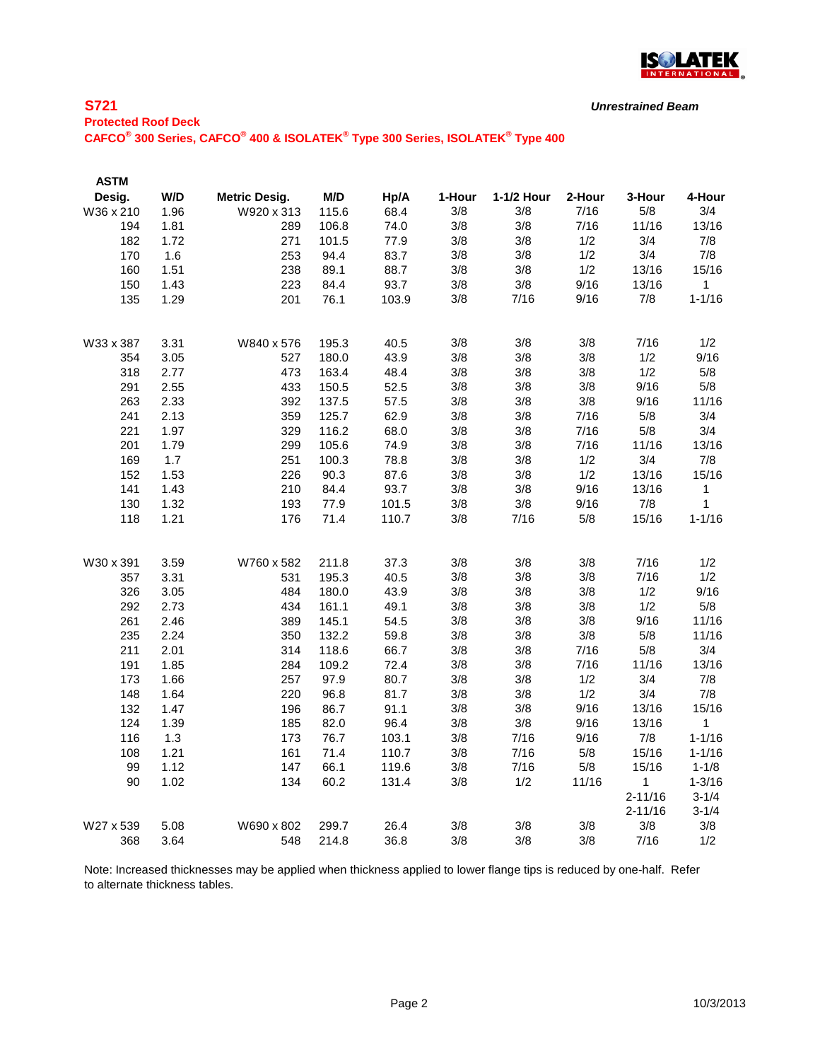

### **S721**

*Unrestrained Beam*

# **Protected Roof Deck**

**CAFCO® 300 Series, CAFCO® 400 & ISOLATEK® Type 300 Series, ISOLATEK® Type 400**

| <b>ASTM</b> |      |                      |       |       |        |            |        |             |              |
|-------------|------|----------------------|-------|-------|--------|------------|--------|-------------|--------------|
| Desig.      | W/D  | <b>Metric Desig.</b> | M/D   | Hp/A  | 1-Hour | 1-1/2 Hour | 2-Hour | 3-Hour      | 4-Hour       |
| W36 x 210   | 1.96 | W920 x 313           | 115.6 | 68.4  | 3/8    | 3/8        | 7/16   | 5/8         | 3/4          |
| 194         | 1.81 | 289                  | 106.8 | 74.0  | 3/8    | 3/8        | 7/16   | 11/16       | 13/16        |
| 182         | 1.72 | 271                  | 101.5 | 77.9  | 3/8    | 3/8        | 1/2    | 3/4         | 7/8          |
| 170         | 1.6  | 253                  | 94.4  | 83.7  | 3/8    | 3/8        | 1/2    | 3/4         | 7/8          |
| 160         | 1.51 | 238                  | 89.1  | 88.7  | 3/8    | 3/8        | 1/2    | 13/16       | 15/16        |
| 150         | 1.43 | 223                  | 84.4  | 93.7  | 3/8    | $3/8$      | 9/16   | 13/16       | $\mathbf{1}$ |
| 135         | 1.29 | 201                  | 76.1  | 103.9 | 3/8    | 7/16       | 9/16   | 7/8         | $1 - 1/16$   |
| W33 x 387   | 3.31 | W840 x 576           | 195.3 | 40.5  | 3/8    | 3/8        | 3/8    | 7/16        | 1/2          |
| 354         | 3.05 | 527                  | 180.0 | 43.9  | 3/8    | 3/8        | 3/8    | 1/2         | 9/16         |
| 318         | 2.77 | 473                  | 163.4 | 48.4  | 3/8    | 3/8        | 3/8    | 1/2         | 5/8          |
| 291         | 2.55 | 433                  | 150.5 | 52.5  | 3/8    | 3/8        | 3/8    | 9/16        | 5/8          |
| 263         | 2.33 | 392                  | 137.5 | 57.5  | 3/8    | 3/8        | 3/8    | 9/16        | 11/16        |
| 241         | 2.13 | 359                  | 125.7 | 62.9  | 3/8    | 3/8        | 7/16   | 5/8         | 3/4          |
| 221         | 1.97 | 329                  | 116.2 | 68.0  | 3/8    | 3/8        | 7/16   | 5/8         | 3/4          |
| 201         | 1.79 | 299                  | 105.6 | 74.9  | 3/8    | 3/8        | 7/16   | 11/16       | 13/16        |
| 169         | 1.7  | 251                  | 100.3 | 78.8  | 3/8    | 3/8        | 1/2    | 3/4         | 7/8          |
| 152         | 1.53 | 226                  | 90.3  | 87.6  | 3/8    | 3/8        | 1/2    | 13/16       | 15/16        |
| 141         | 1.43 | 210                  | 84.4  | 93.7  | 3/8    | 3/8        | 9/16   | 13/16       | $\mathbf{1}$ |
| 130         | 1.32 | 193                  | 77.9  | 101.5 | 3/8    | 3/8        | 9/16   | 7/8         | 1            |
| 118         | 1.21 | 176                  | 71.4  | 110.7 | 3/8    | 7/16       | 5/8    | 15/16       | $1 - 1/16$   |
| W30 x 391   | 3.59 | W760 x 582           | 211.8 | 37.3  | 3/8    | 3/8        | 3/8    | 7/16        | 1/2          |
| 357         | 3.31 | 531                  | 195.3 | 40.5  | 3/8    | 3/8        | 3/8    | 7/16        | 1/2          |
| 326         | 3.05 | 484                  | 180.0 | 43.9  | 3/8    | 3/8        | 3/8    | 1/2         | 9/16         |
| 292         | 2.73 | 434                  | 161.1 | 49.1  | 3/8    | 3/8        | 3/8    | 1/2         | 5/8          |
| 261         | 2.46 | 389                  | 145.1 | 54.5  | 3/8    | 3/8        | 3/8    | 9/16        | 11/16        |
| 235         | 2.24 | 350                  | 132.2 | 59.8  | 3/8    | 3/8        | 3/8    | 5/8         | 11/16        |
| 211         | 2.01 | 314                  | 118.6 | 66.7  | 3/8    | 3/8        | 7/16   | 5/8         | 3/4          |
| 191         | 1.85 | 284                  | 109.2 | 72.4  | 3/8    | 3/8        | 7/16   | 11/16       | 13/16        |
| 173         | 1.66 | 257                  | 97.9  | 80.7  | 3/8    | 3/8        | 1/2    | 3/4         | 7/8          |
| 148         | 1.64 | 220                  | 96.8  | 81.7  | 3/8    | 3/8        | 1/2    | 3/4         | 7/8          |
| 132         | 1.47 | 196                  | 86.7  | 91.1  | 3/8    | 3/8        | 9/16   | 13/16       | 15/16        |
| 124         | 1.39 | 185                  | 82.0  | 96.4  | 3/8    | 3/8        | 9/16   | 13/16       | $\mathbf{1}$ |
| 116         | 1.3  | 173                  | 76.7  | 103.1 | 3/8    | 7/16       | 9/16   | 7/8         | $1 - 1/16$   |
| 108         | 1.21 | 161                  | 71.4  | 110.7 | 3/8    | 7/16       | 5/8    | 15/16       | $1 - 1/16$   |
| 99          | 1.12 | 147                  | 66.1  | 119.6 | 3/8    | 7/16       | 5/8    | 15/16       | $1 - 1/8$    |
| 90          | 1.02 | 134                  | 60.2  | 131.4 | 3/8    | 1/2        | 11/16  | 1           | $1 - 3/16$   |
|             |      |                      |       |       |        |            |        | $2 - 11/16$ | $3 - 1/4$    |
|             |      |                      |       |       |        |            |        | $2 - 11/16$ | $3 - 1/4$    |
| W27 x 539   | 5.08 | W690 x 802           | 299.7 | 26.4  | 3/8    | 3/8        | 3/8    | 3/8         | 3/8          |
| 368         | 3.64 | 548                  | 214.8 | 36.8  | 3/8    | 3/8        | 3/8    | 7/16        | 1/2          |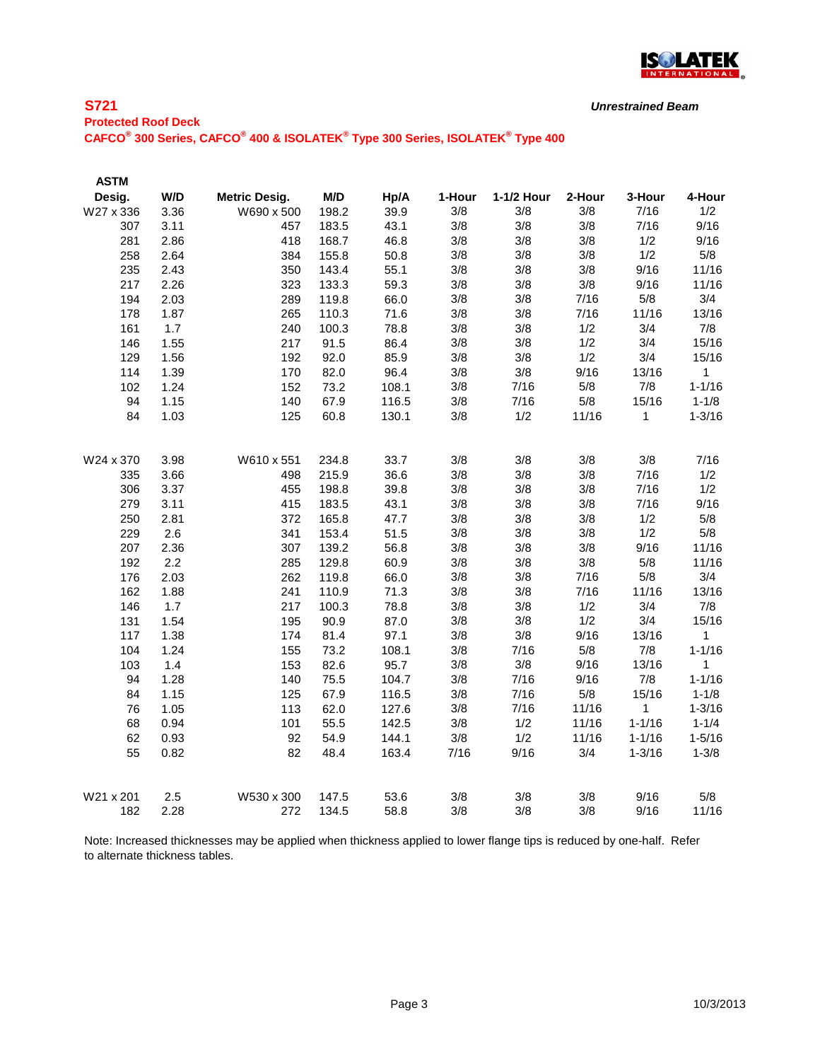

## **S721**

| <b>Protected Roof Deck</b>                                                                                                    |  |
|-------------------------------------------------------------------------------------------------------------------------------|--|
| CAFCO <sup>®</sup> 300 Series, CAFCO <sup>®</sup> 400 & ISOLATEK <sup>®</sup> Type 300 Series, ISOLATEK <sup>®</sup> Type 400 |  |

| <b>ASTM</b>      |             |                      |                |              |            |            |            |              |              |
|------------------|-------------|----------------------|----------------|--------------|------------|------------|------------|--------------|--------------|
| Desig.           | W/D         | <b>Metric Desig.</b> | M/D            | Hp/A         | 1-Hour     | 1-1/2 Hour | 2-Hour     | 3-Hour       | 4-Hour       |
| W27 x 336        | 3.36        | W690 x 500           | 198.2          | 39.9         | 3/8        | 3/8        | 3/8        | 7/16         | 1/2          |
| 307              | 3.11        | 457                  | 183.5          | 43.1         | 3/8        | 3/8        | 3/8        | 7/16         | 9/16         |
| 281              | 2.86        | 418                  | 168.7          | 46.8         | 3/8        | 3/8        | 3/8        | 1/2          | 9/16         |
| 258              | 2.64        | 384                  | 155.8          | 50.8         | 3/8        | 3/8        | 3/8        | 1/2          | 5/8          |
| 235              | 2.43        | 350                  | 143.4          | 55.1         | 3/8        | 3/8        | 3/8        | 9/16         | 11/16        |
| 217              | 2.26        | 323                  | 133.3          | 59.3         | 3/8        | 3/8        | 3/8        | 9/16         | 11/16        |
| 194              | 2.03        | 289                  | 119.8          | 66.0         | 3/8        | 3/8        | 7/16       | 5/8          | 3/4          |
| 178              | 1.87        | 265                  | 110.3          | 71.6         | 3/8        | 3/8        | 7/16       | 11/16        | 13/16        |
| 161              | 1.7         | 240                  | 100.3          | 78.8         | 3/8        | 3/8        | 1/2        | 3/4          | 7/8          |
| 146              | 1.55        | 217                  | 91.5           | 86.4         | 3/8        | 3/8        | 1/2        | 3/4          | 15/16        |
| 129              | 1.56        | 192                  | 92.0           | 85.9         | 3/8        | 3/8        | 1/2        | 3/4          | 15/16        |
| 114              | 1.39        | 170                  | 82.0           | 96.4         | 3/8        | 3/8        | 9/16       | 13/16        | 1            |
| 102              | 1.24        | 152                  | 73.2           | 108.1        | 3/8        | 7/16       | 5/8        | 7/8          | $1 - 1/16$   |
| 94               | 1.15        | 140                  | 67.9           | 116.5        | 3/8        | 7/16       | 5/8        | 15/16        | $1 - 1/8$    |
| 84               | 1.03        | 125                  | 60.8           | 130.1        | 3/8        | 1/2        | 11/16      | $\mathbf{1}$ | $1 - 3/16$   |
|                  |             |                      |                |              |            |            |            |              |              |
| W24 x 370        | 3.98        | W610 x 551           | 234.8          | 33.7         | 3/8        | 3/8        | 3/8        | 3/8          | 7/16         |
| 335              | 3.66        | 498                  | 215.9          | 36.6         | 3/8        | 3/8        | 3/8        | 7/16         | 1/2          |
| 306              | 3.37        | 455                  | 198.8          | 39.8         | 3/8        | 3/8        | 3/8        | 7/16         | 1/2          |
| 279              | 3.11        | 415                  | 183.5          | 43.1         | 3/8        | 3/8        | 3/8        | 7/16         | 9/16         |
| 250              | 2.81        | 372                  | 165.8          | 47.7         | 3/8        | 3/8        | 3/8        | 1/2          | 5/8          |
| 229              | 2.6         | 341                  | 153.4          | 51.5         | 3/8        | 3/8        | 3/8        | 1/2          | 5/8          |
| 207              | 2.36        | 307                  | 139.2          | 56.8         | 3/8        | 3/8        | 3/8        | 9/16         | 11/16        |
| 192              | 2.2         | 285                  | 129.8          | 60.9         | 3/8        | 3/8        | 3/8        | 5/8          | 11/16        |
| 176              | 2.03        | 262                  | 119.8          | 66.0         | 3/8        | 3/8        | 7/16       | 5/8          | 3/4          |
| 162              | 1.88        | 241                  | 110.9          | 71.3         | 3/8        | 3/8        | 7/16       | 11/16        | 13/16        |
| 146              | 1.7         | 217                  | 100.3          | 78.8         | 3/8        | 3/8        | 1/2        | 3/4          | 7/8          |
| 131              | 1.54        | 195                  | 90.9           | 87.0         | 3/8        | 3/8        | 1/2        | 3/4          | 15/16        |
| 117              | 1.38        | 174                  | 81.4           | 97.1         | 3/8        | 3/8        | 9/16       | 13/16        | 1            |
| 104              | 1.24        | 155                  | 73.2           | 108.1        | 3/8        | 7/16       | 5/8        | 7/8          | $1 - 1/16$   |
| 103              | 1.4         | 153                  | 82.6           | 95.7         | 3/8        | 3/8        | 9/16       | 13/16        | $\mathbf{1}$ |
| 94               | 1.28        | 140                  | 75.5           | 104.7        | 3/8        | 7/16       | 9/16       | 7/8          | $1 - 1/16$   |
| 84               | 1.15        | 125                  | 67.9           | 116.5        | 3/8        | 7/16       | 5/8        | 15/16        | $1 - 1/8$    |
| 76               | 1.05        | 113                  | 62.0           | 127.6        | 3/8        | 7/16       | 11/16      | $\mathbf 1$  | $1 - 3/16$   |
| 68               | 0.94        | 101                  | 55.5           | 142.5        | 3/8        | 1/2        | 11/16      | $1 - 1/16$   | $1 - 1/4$    |
| 62               | 0.93        | 92                   | 54.9           | 144.1        | 3/8        | 1/2        | 11/16      | $1 - 1/16$   | $1 - 5/16$   |
| 55               | 0.82        | 82                   | 48.4           | 163.4        | 7/16       | 9/16       | 3/4        | $1 - 3/16$   | $1 - 3/8$    |
|                  |             |                      |                |              |            |            |            | 9/16         | 5/8          |
| W21 x 201<br>182 | 2.5<br>2.28 | W530 x 300<br>272    | 147.5<br>134.5 | 53.6<br>58.8 | 3/8<br>3/8 | 3/8<br>3/8 | 3/8<br>3/8 | 9/16         | 11/16        |
|                  |             |                      |                |              |            |            |            |              |              |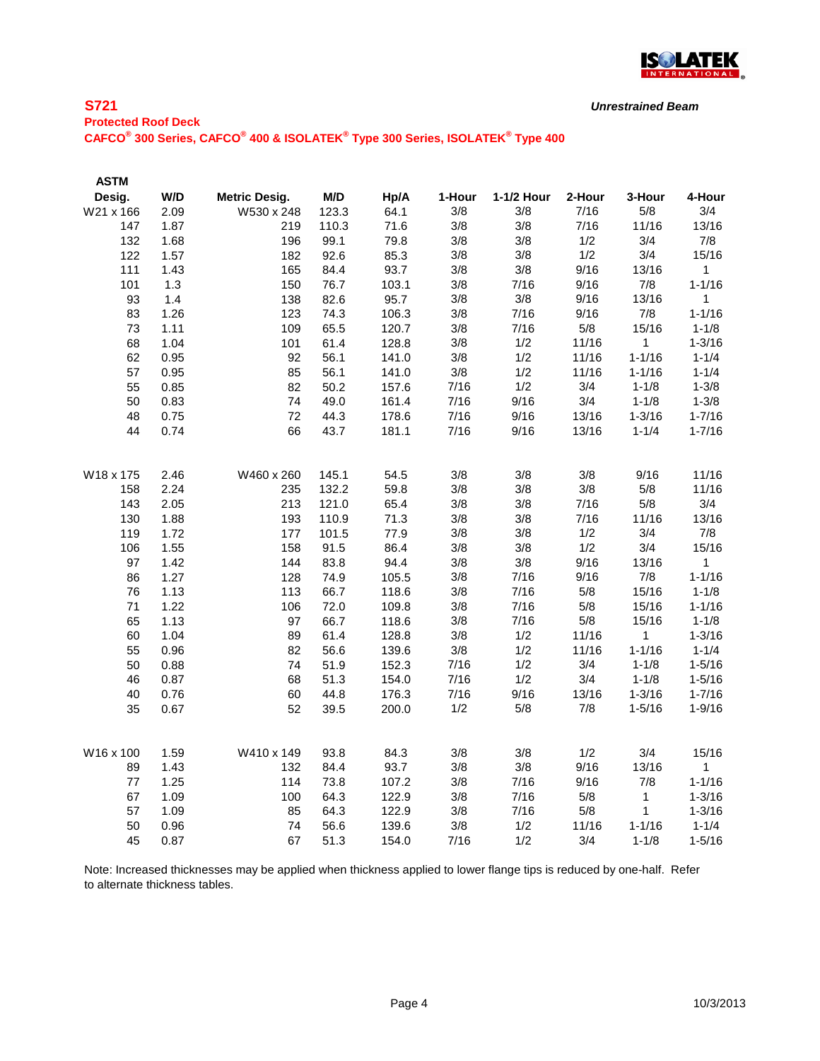

# **Protected Roof Deck CAFCO® 300 Series, CAFCO® 400 & ISOLATEK® Type 300 Series, ISOLATEK® Type 400**

**S721** 

| <b>ASTM</b> |      |                      |       |       |        |            |        |              |             |
|-------------|------|----------------------|-------|-------|--------|------------|--------|--------------|-------------|
| Desig.      | W/D  | <b>Metric Desig.</b> | M/D   | Hp/A  | 1-Hour | 1-1/2 Hour | 2-Hour | 3-Hour       | 4-Hour      |
| W21 x 166   | 2.09 | W530 x 248           | 123.3 | 64.1  | 3/8    | 3/8        | 7/16   | 5/8          | 3/4         |
| 147         | 1.87 | 219                  | 110.3 | 71.6  | 3/8    | 3/8        | 7/16   | 11/16        | 13/16       |
| 132         | 1.68 | 196                  | 99.1  | 79.8  | 3/8    | 3/8        | 1/2    | 3/4          | 7/8         |
| 122         | 1.57 | 182                  | 92.6  | 85.3  | 3/8    | 3/8        | 1/2    | 3/4          | 15/16       |
| 111         | 1.43 | 165                  | 84.4  | 93.7  | 3/8    | 3/8        | 9/16   | 13/16        | 1           |
| 101         | 1.3  | 150                  | 76.7  | 103.1 | 3/8    | 7/16       | 9/16   | 7/8          | $1 - 1/16$  |
| 93          | 1.4  | 138                  | 82.6  | 95.7  | 3/8    | 3/8        | 9/16   | 13/16        | 1           |
| 83          | 1.26 | 123                  | 74.3  | 106.3 | 3/8    | 7/16       | 9/16   | 7/8          | $1 - 1/16$  |
| 73          | 1.11 | 109                  | 65.5  | 120.7 | 3/8    | 7/16       | 5/8    | 15/16        | $1 - 1/8$   |
| 68          | 1.04 | 101                  | 61.4  | 128.8 | 3/8    | 1/2        | 11/16  | 1            | $1 - 3/16$  |
| 62          | 0.95 | 92                   | 56.1  | 141.0 | 3/8    | 1/2        | 11/16  | $1 - 1/16$   | $1 - 1/4$   |
| 57          | 0.95 | 85                   | 56.1  | 141.0 | 3/8    | 1/2        | 11/16  | $1 - 1/16$   | $1 - 1/4$   |
| 55          | 0.85 | 82                   | 50.2  | 157.6 | 7/16   | 1/2        | 3/4    | $1 - 1/8$    | $1 - 3/8$   |
| 50          | 0.83 | 74                   | 49.0  | 161.4 | 7/16   | 9/16       | 3/4    | $1 - 1/8$    | $1 - 3/8$   |
| 48          | 0.75 | 72                   | 44.3  | 178.6 | 7/16   | 9/16       | 13/16  | $1 - 3/16$   | $1 - 7/16$  |
| 44          | 0.74 | 66                   | 43.7  | 181.1 | 7/16   | 9/16       | 13/16  | $1 - 1/4$    | $1 - 7/16$  |
|             |      |                      |       |       |        |            |        |              |             |
| W18 x 175   | 2.46 | W460 x 260           | 145.1 | 54.5  | 3/8    | 3/8        | 3/8    | 9/16         | 11/16       |
| 158         | 2.24 | 235                  | 132.2 | 59.8  | 3/8    | 3/8        | 3/8    | 5/8          | 11/16       |
| 143         | 2.05 | 213                  | 121.0 | 65.4  | 3/8    | 3/8        | 7/16   | 5/8          | 3/4         |
| 130         | 1.88 | 193                  | 110.9 | 71.3  | 3/8    | 3/8        | 7/16   | 11/16        | 13/16       |
| 119         | 1.72 | 177                  | 101.5 | 77.9  | 3/8    | 3/8        | 1/2    | 3/4          | 7/8         |
| 106         | 1.55 | 158                  | 91.5  | 86.4  | 3/8    | 3/8        | 1/2    | 3/4          | 15/16       |
| 97          | 1.42 | 144                  | 83.8  | 94.4  | 3/8    | 3/8        | 9/16   | 13/16        | 1           |
| 86          | 1.27 | 128                  | 74.9  | 105.5 | 3/8    | 7/16       | 9/16   | 7/8          | $1 - 1/16$  |
| 76          | 1.13 | 113                  | 66.7  | 118.6 | 3/8    | 7/16       | 5/8    | 15/16        | $1 - 1/8$   |
| 71          | 1.22 | 106                  | 72.0  | 109.8 | 3/8    | 7/16       | 5/8    | 15/16        | $1 - 1/16$  |
| 65          | 1.13 | 97                   | 66.7  | 118.6 | 3/8    | 7/16       | $5/8$  | 15/16        | $1 - 1/8$   |
| 60          | 1.04 | 89                   | 61.4  | 128.8 | 3/8    | 1/2        | 11/16  | 1            | $1 - 3/16$  |
| 55          | 0.96 | 82                   | 56.6  | 139.6 | 3/8    | 1/2        | 11/16  | $1 - 1/16$   | $1 - 1/4$   |
| 50          | 0.88 | 74                   | 51.9  | 152.3 | 7/16   | 1/2        | 3/4    | $1 - 1/8$    | $1 - 5/16$  |
| 46          | 0.87 | 68                   | 51.3  | 154.0 | 7/16   | 1/2        | 3/4    | $1 - 1/8$    | $1 - 5/16$  |
| 40          | 0.76 | 60                   | 44.8  | 176.3 | 7/16   | 9/16       | 13/16  | $1 - 3/16$   | $1 - 7/16$  |
| 35          | 0.67 | 52                   | 39.5  | 200.0 | 1/2    | 5/8        | 7/8    | $1 - 5/16$   | $1 - 9/16$  |
|             |      |                      |       |       |        |            |        |              |             |
| W16 x 100   | 1.59 | W410 x 149           | 93.8  | 84.3  | 3/8    | 3/8        | 1/2    | 3/4          | 15/16       |
| 89          | 1.43 | 132                  | 84.4  | 93.7  | 3/8    | 3/8        | 9/16   | 13/16        | $\mathbf 1$ |
| 77          | 1.25 | 114                  | 73.8  | 107.2 | 3/8    | 7/16       | 9/16   | 7/8          | $1 - 1/16$  |
| 67          | 1.09 | 100                  | 64.3  | 122.9 | 3/8    | 7/16       | 5/8    | $\mathbf 1$  | $1 - 3/16$  |
| 57          | 1.09 | 85                   | 64.3  | 122.9 | 3/8    | 7/16       | 5/8    | $\mathbf{1}$ | $1 - 3/16$  |
| 50          | 0.96 | 74                   | 56.6  | 139.6 | 3/8    | 1/2        | 11/16  | $1 - 1/16$   | $1 - 1/4$   |
| 45          | 0.87 | 67                   | 51.3  | 154.0 | 7/16   | 1/2        | 3/4    | $1 - 1/8$    | $1 - 5/16$  |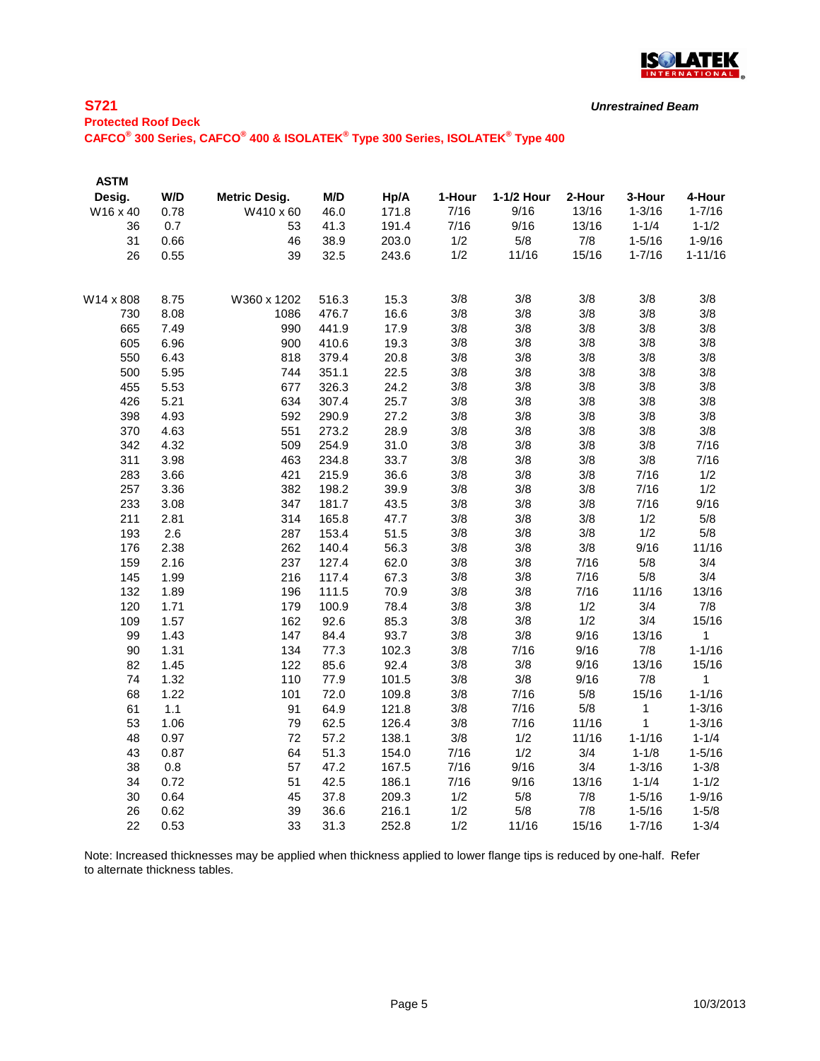

### **S721 Protected Roof Deck**

**CAFCO® 300 Series, CAFCO® 400 & ISOLATEK® Type 300 Series, ISOLATEK® Type 400**

| <b>ASTM</b> |      |                      |       |       |        |            |        |            |             |
|-------------|------|----------------------|-------|-------|--------|------------|--------|------------|-------------|
| Desig.      | W/D  | <b>Metric Desig.</b> | M/D   | Hp/A  | 1-Hour | 1-1/2 Hour | 2-Hour | 3-Hour     | 4-Hour      |
| W16 x 40    | 0.78 | W410 x 60            | 46.0  | 171.8 | 7/16   | 9/16       | 13/16  | $1 - 3/16$ | $1 - 7/16$  |
| 36          | 0.7  | 53                   | 41.3  | 191.4 | 7/16   | 9/16       | 13/16  | $1 - 1/4$  | $1 - 1/2$   |
| 31          | 0.66 | 46                   | 38.9  | 203.0 | 1/2    | 5/8        | 7/8    | $1 - 5/16$ | $1 - 9/16$  |
| 26          | 0.55 | 39                   | 32.5  | 243.6 | 1/2    | 11/16      | 15/16  | $1 - 7/16$ | $1 - 11/16$ |
| W14 x 808   | 8.75 | W360 x 1202          | 516.3 | 15.3  | 3/8    | 3/8        | 3/8    | 3/8        | 3/8         |
| 730         | 8.08 | 1086                 | 476.7 | 16.6  | 3/8    | 3/8        | 3/8    | 3/8        | 3/8         |
| 665         | 7.49 | 990                  | 441.9 | 17.9  | 3/8    | 3/8        | 3/8    | 3/8        | 3/8         |
| 605         | 6.96 | 900                  | 410.6 | 19.3  | 3/8    | 3/8        | 3/8    | 3/8        | 3/8         |
| 550         | 6.43 | 818                  | 379.4 | 20.8  | 3/8    | 3/8        | 3/8    | 3/8        | 3/8         |
| 500         | 5.95 | 744                  | 351.1 | 22.5  | 3/8    | 3/8        | 3/8    | 3/8        | 3/8         |
| 455         | 5.53 | 677                  | 326.3 | 24.2  | 3/8    | 3/8        | 3/8    | 3/8        | 3/8         |
| 426         | 5.21 | 634                  | 307.4 | 25.7  | 3/8    | 3/8        | 3/8    | 3/8        | 3/8         |
| 398         | 4.93 | 592                  | 290.9 | 27.2  | 3/8    | 3/8        | 3/8    | 3/8        | 3/8         |
| 370         | 4.63 | 551                  | 273.2 | 28.9  | 3/8    | 3/8        | 3/8    | 3/8        | 3/8         |
| 342         | 4.32 | 509                  | 254.9 | 31.0  | 3/8    | 3/8        | 3/8    | 3/8        | 7/16        |
| 311         | 3.98 | 463                  | 234.8 | 33.7  | 3/8    | 3/8        | 3/8    | 3/8        | 7/16        |
| 283         | 3.66 | 421                  | 215.9 | 36.6  | 3/8    | 3/8        | 3/8    | 7/16       | 1/2         |
| 257         | 3.36 | 382                  | 198.2 | 39.9  | 3/8    | 3/8        | 3/8    | 7/16       | 1/2         |
| 233         | 3.08 | 347                  | 181.7 | 43.5  | 3/8    | 3/8        | 3/8    | 7/16       | 9/16        |
| 211         | 2.81 | 314                  | 165.8 | 47.7  | 3/8    | 3/8        | 3/8    | 1/2        | 5/8         |
| 193         | 2.6  | 287                  | 153.4 | 51.5  | 3/8    | 3/8        | 3/8    | 1/2        | 5/8         |
| 176         | 2.38 | 262                  | 140.4 | 56.3  | 3/8    | 3/8        | 3/8    | 9/16       | 11/16       |
| 159         | 2.16 | 237                  | 127.4 | 62.0  | 3/8    | 3/8        | 7/16   | 5/8        | 3/4         |
| 145         | 1.99 | 216                  | 117.4 | 67.3  | 3/8    | 3/8        | 7/16   | 5/8        | 3/4         |
| 132         | 1.89 | 196                  | 111.5 | 70.9  | 3/8    | 3/8        | 7/16   | 11/16      | 13/16       |
| 120         | 1.71 | 179                  | 100.9 | 78.4  | 3/8    | 3/8        | 1/2    | 3/4        | 7/8         |
| 109         | 1.57 | 162                  | 92.6  | 85.3  | 3/8    | 3/8        | 1/2    | 3/4        | 15/16       |
| 99          | 1.43 | 147                  | 84.4  | 93.7  | 3/8    | 3/8        | 9/16   | 13/16      | 1           |
| 90          | 1.31 | 134                  | 77.3  | 102.3 | 3/8    | 7/16       | 9/16   | 7/8        | $1 - 1/16$  |
| 82          | 1.45 | 122                  | 85.6  | 92.4  | 3/8    | 3/8        | 9/16   | 13/16      | 15/16       |
| 74          | 1.32 | 110                  | 77.9  | 101.5 | 3/8    | 3/8        | 9/16   | 7/8        | 1           |
| 68          | 1.22 | 101                  | 72.0  | 109.8 | 3/8    | 7/16       | 5/8    | 15/16      | $1 - 1/16$  |
| 61          | 1.1  | 91                   | 64.9  | 121.8 | 3/8    | 7/16       | 5/8    | 1          | $1 - 3/16$  |
| 53          | 1.06 | 79                   | 62.5  | 126.4 | 3/8    | 7/16       | 11/16  | 1          | $1 - 3/16$  |
| 48          | 0.97 | 72                   | 57.2  | 138.1 | $3/8$  | 1/2        | 11/16  | $1 - 1/16$ | $1 - 1/4$   |
| 43          | 0.87 | 64                   | 51.3  | 154.0 | 7/16   | 1/2        | 3/4    | $1 - 1/8$  | $1 - 5/16$  |
| 38          | 0.8  | 57                   | 47.2  | 167.5 | 7/16   | 9/16       | 3/4    | $1 - 3/16$ | $1 - 3/8$   |
| 34          | 0.72 | 51                   | 42.5  | 186.1 | 7/16   | 9/16       | 13/16  | $1 - 1/4$  | $1 - 1/2$   |
| 30          | 0.64 | 45                   | 37.8  | 209.3 | 1/2    | 5/8        | 7/8    | $1 - 5/16$ | $1 - 9/16$  |
| 26          | 0.62 | 39                   | 36.6  | 216.1 | 1/2    | 5/8        | 7/8    | $1 - 5/16$ | $1 - 5/8$   |
| 22          | 0.53 | 33                   | 31.3  | 252.8 | 1/2    | 11/16      | 15/16  | $1 - 7/16$ | $1 - 3/4$   |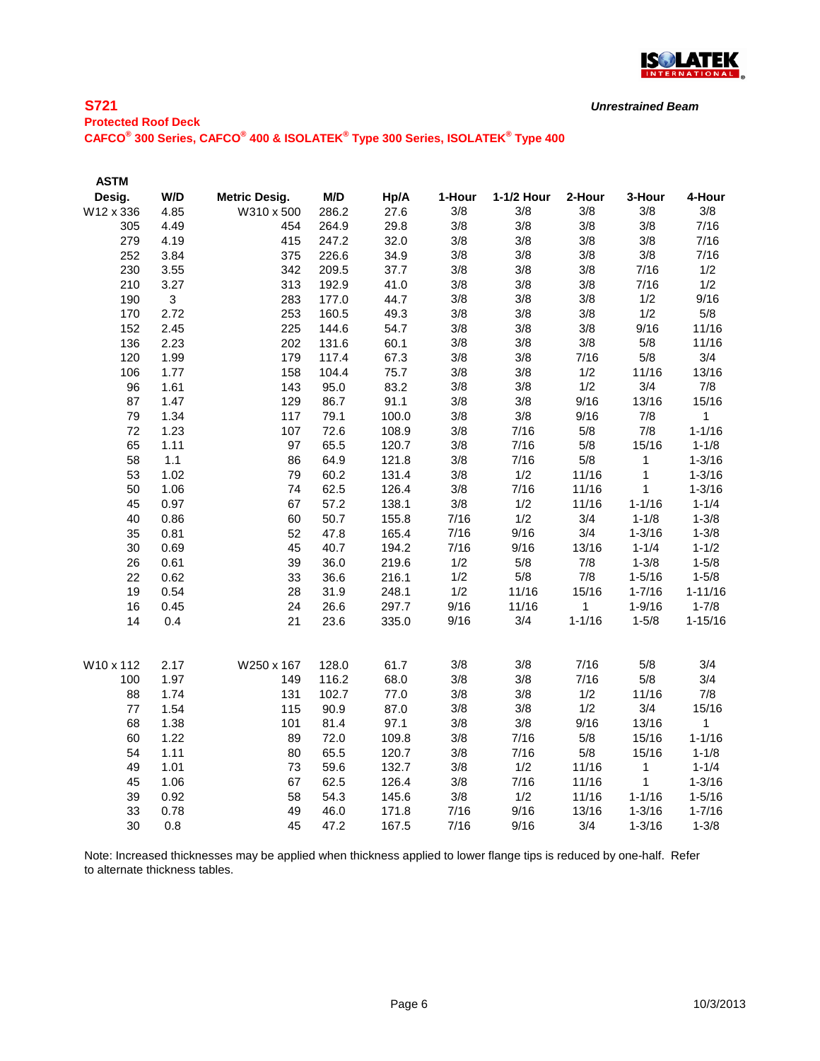

## **S721 Protected Roof Deck**

**CAFCO® 300 Series, CAFCO® 400 & ISOLATEK® Type 300 Series, ISOLATEK® Type 400**

| <b>ASTM</b> |      |                      |       |       |        |            |            |              |              |
|-------------|------|----------------------|-------|-------|--------|------------|------------|--------------|--------------|
| Desig.      | W/D  | <b>Metric Desig.</b> | M/D   | Hp/A  | 1-Hour | 1-1/2 Hour | 2-Hour     | 3-Hour       | 4-Hour       |
| W12 x 336   | 4.85 | W310 x 500           | 286.2 | 27.6  | 3/8    | 3/8        | 3/8        | 3/8          | 3/8          |
| 305         | 4.49 | 454                  | 264.9 | 29.8  | 3/8    | 3/8        | 3/8        | 3/8          | 7/16         |
| 279         | 4.19 | 415                  | 247.2 | 32.0  | 3/8    | 3/8        | 3/8        | 3/8          | 7/16         |
| 252         | 3.84 | 375                  | 226.6 | 34.9  | 3/8    | 3/8        | 3/8        | 3/8          | 7/16         |
| 230         | 3.55 | 342                  | 209.5 | 37.7  | 3/8    | 3/8        | 3/8        | 7/16         | 1/2          |
| 210         | 3.27 | 313                  | 192.9 | 41.0  | 3/8    | 3/8        | 3/8        | 7/16         | 1/2          |
| 190         | 3    | 283                  | 177.0 | 44.7  | 3/8    | 3/8        | 3/8        | 1/2          | 9/16         |
| 170         | 2.72 | 253                  | 160.5 | 49.3  | 3/8    | 3/8        | 3/8        | 1/2          | 5/8          |
| 152         | 2.45 | 225                  | 144.6 | 54.7  | 3/8    | 3/8        | 3/8        | 9/16         | 11/16        |
| 136         | 2.23 | 202                  | 131.6 | 60.1  | 3/8    | 3/8        | 3/8        | 5/8          | 11/16        |
| 120         | 1.99 | 179                  | 117.4 | 67.3  | 3/8    | 3/8        | 7/16       | 5/8          | 3/4          |
| 106         | 1.77 | 158                  | 104.4 | 75.7  | 3/8    | 3/8        | 1/2        | 11/16        | 13/16        |
| 96          | 1.61 | 143                  | 95.0  | 83.2  | 3/8    | 3/8        | 1/2        | 3/4          | 7/8          |
| 87          | 1.47 | 129                  | 86.7  | 91.1  | 3/8    | 3/8        | 9/16       | 13/16        | 15/16        |
| 79          | 1.34 | 117                  | 79.1  | 100.0 | 3/8    | 3/8        | 9/16       | 7/8          | $\mathbf{1}$ |
| 72          | 1.23 | 107                  | 72.6  | 108.9 | 3/8    | 7/16       | 5/8        | 7/8          | $1 - 1/16$   |
| 65          | 1.11 | 97                   | 65.5  | 120.7 | 3/8    | 7/16       | 5/8        | 15/16        | $1 - 1/8$    |
| 58          | 1.1  | 86                   | 64.9  | 121.8 | 3/8    | 7/16       | 5/8        | $\mathbf 1$  | $1 - 3/16$   |
| 53          | 1.02 | 79                   | 60.2  | 131.4 | 3/8    | 1/2        | 11/16      | $\mathbf{1}$ | $1 - 3/16$   |
| 50          | 1.06 | 74                   | 62.5  | 126.4 | 3/8    | 7/16       | 11/16      | 1            | $1 - 3/16$   |
| 45          | 0.97 | 67                   | 57.2  | 138.1 | 3/8    | 1/2        | 11/16      | $1 - 1/16$   | $1 - 1/4$    |
| 40          | 0.86 | 60                   | 50.7  | 155.8 | 7/16   | 1/2        | 3/4        | $1 - 1/8$    | $1 - 3/8$    |
| 35          | 0.81 | 52                   | 47.8  | 165.4 | 7/16   | 9/16       | 3/4        | $1 - 3/16$   | $1 - 3/8$    |
| 30          | 0.69 | 45                   | 40.7  | 194.2 | 7/16   | 9/16       | 13/16      | $1 - 1/4$    | $1 - 1/2$    |
| 26          | 0.61 | 39                   | 36.0  | 219.6 | 1/2    | 5/8        | 7/8        | $1 - 3/8$    | $1 - 5/8$    |
| 22          | 0.62 | 33                   | 36.6  | 216.1 | 1/2    | 5/8        | 7/8        | $1 - 5/16$   | $1 - 5/8$    |
| 19          | 0.54 | 28                   | 31.9  | 248.1 | 1/2    | 11/16      | 15/16      | $1 - 7/16$   | $1 - 11/16$  |
| 16          | 0.45 | 24                   | 26.6  | 297.7 | 9/16   | 11/16      | 1          | $1 - 9/16$   | $1 - 7/8$    |
| 14          | 0.4  | 21                   | 23.6  | 335.0 | 9/16   | 3/4        | $1 - 1/16$ | $1 - 5/8$    | $1 - 15/16$  |
| W10 x 112   | 2.17 | W250 x 167           | 128.0 | 61.7  | 3/8    | 3/8        | 7/16       | 5/8          | 3/4          |
| 100         | 1.97 | 149                  | 116.2 | 68.0  | 3/8    | 3/8        | 7/16       | 5/8          | 3/4          |
| 88          | 1.74 | 131                  | 102.7 | 77.0  | 3/8    | 3/8        | 1/2        | 11/16        | 7/8          |
| 77          | 1.54 | 115                  | 90.9  | 87.0  | 3/8    | 3/8        | 1/2        | 3/4          | 15/16        |
| 68          | 1.38 | 101                  | 81.4  | 97.1  | 3/8    | 3/8        | 9/16       | 13/16        | $\mathbf 1$  |
| 60          | 1.22 | 89                   | 72.0  | 109.8 | 3/8    | 7/16       | 5/8        | 15/16        | $1 - 1/16$   |
| 54          | 1.11 | 80                   | 65.5  | 120.7 | 3/8    | 7/16       | 5/8        | 15/16        | $1 - 1/8$    |
| 49          | 1.01 | 73                   | 59.6  | 132.7 | 3/8    | 1/2        | 11/16      | 1            | $1 - 1/4$    |
| 45          | 1.06 | 67                   | 62.5  | 126.4 | 3/8    | 7/16       | 11/16      | $\mathbf{1}$ | $1 - 3/16$   |
| 39          | 0.92 | 58                   | 54.3  | 145.6 | 3/8    | 1/2        | 11/16      | $1 - 1/16$   | $1 - 5/16$   |
| 33          | 0.78 | 49                   | 46.0  | 171.8 | 7/16   | 9/16       | 13/16      | $1 - 3/16$   | $1 - 7/16$   |
| 30          | 0.8  | 45                   | 47.2  | 167.5 | 7/16   | 9/16       | 3/4        | $1 - 3/16$   | $1 - 3/8$    |